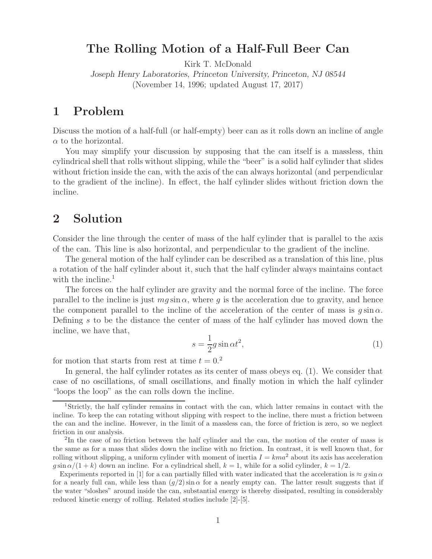## **The Rolling Motion of a Half-Full Beer Can**

Kirk T. McDonald

*Joseph Henry Laboratories, Princeton University, Princeton, NJ 08544* (November 14, 1996; updated August 17, 2017)

### **1 Problem**

Discuss the motion of a half-full (or half-empty) beer can as it rolls down an incline of angle  $\alpha$  to the horizontal.

You may simplify your discussion by supposing that the can itself is a massless, thin cylindrical shell that rolls without slipping, while the "beer" is a solid half cylinder that slides without friction inside the can, with the axis of the can always horizontal (and perpendicular to the gradient of the incline). In effect, the half cylinder slides without friction down the incline.

## **2 Solution**

Consider the line through the center of mass of the half cylinder that is parallel to the axis of the can. This line is also horizontal, and perpendicular to the gradient of the incline.

The general motion of the half cylinder can be described as a translation of this line, plus a rotation of the half cylinder about it, such that the half cylinder always maintains contact with the incline.<sup>1</sup>

The forces on the half cylinder are gravity and the normal force of the incline. The force parallel to the incline is just  $mg \sin \alpha$ , where q is the acceleration due to gravity, and hence the component parallel to the incline of the acceleration of the center of mass is  $q \sin \alpha$ . Defining s to be the distance the center of mass of the half cylinder has moved down the incline, we have that,

$$
s = \frac{1}{2}g\sin\alpha t^2,\tag{1}
$$

for motion that starts from rest at time  $t = 0.2$ 

In general, the half cylinder rotates as its center of mass obeys eq. (1). We consider that case of no oscillations, of small oscillations, and finally motion in which the half cylinder "loops the loop" as the can rolls down the incline.

<sup>1</sup>Strictly, the half cylinder remains in contact with the can, which latter remains in contact with the incline. To keep the can rotating without slipping with respect to the incline, there must a friction between the can and the incline. However, in the limit of a massless can, the force of friction is zero, so we neglect friction in our analysis.

<sup>&</sup>lt;sup>2</sup>In the case of no friction between the half cylinder and the can, the motion of the center of mass is the same as for a mass that slides down the incline with no friction. In contrast, it is well known that, for rolling without slipping, a uniform cylinder with moment of inertia  $I = kma^2$  about its axis has acceleration  $g \sin \alpha/(1 + k)$  down an incline. For a cylindrical shell,  $k = 1$ , while for a solid cylinder,  $k = 1/2$ .

Experiments reported in [1] for a can partially filled with water indicated that the acceleration is  $\approx g \sin \alpha$ for a nearly full can, while less than  $(q/2) \sin \alpha$  for a nearly empty can. The latter result suggests that if the water "sloshes" around inside the can, substantial energy is thereby dissipated, resulting in considerably reduced kinetic energy of rolling. Related studies include [2]-[5].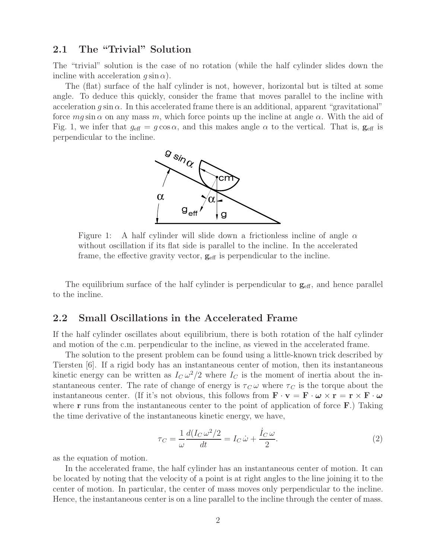#### **2.1 The "Trivial" Solution**

The "trivial" solution is the case of no rotation (while the half cylinder slides down the incline with acceleration  $g \sin \alpha$ ).

The (flat) surface of the half cylinder is not, however, horizontal but is tilted at some angle. To deduce this quickly, consider the frame that moves parallel to the incline with acceleration  $q \sin \alpha$ . In this accelerated frame there is an additional, apparent "gravitational" force  $mg \sin \alpha$  on any mass m, which force points up the incline at angle  $\alpha$ . With the aid of Fig. 1, we infer that  $g_{\text{eff}} = g \cos \alpha$ , and this makes angle  $\alpha$  to the vertical. That is,  $g_{\text{eff}}$  is perpendicular to the incline.



Figure 1: A half cylinder will slide down a frictionless incline of angle  $\alpha$ without oscillation if its flat side is parallel to the incline. In the accelerated frame, the effective gravity vector,  $\mathbf{g}_{\text{eff}}$  is perpendicular to the incline.

The equilibrium surface of the half cylinder is perpendicular to  $g_{\text{eff}}$ , and hence parallel to the incline.

#### **2.2 Small Oscillations in the Accelerated Frame**

If the half cylinder oscillates about equilibrium, there is both rotation of the half cylinder and motion of the c.m. perpendicular to the incline, as viewed in the accelerated frame.

The solution to the present problem can be found using a little-known trick described by Tiersten [6]. If a rigid body has an instantaneous center of motion, then its instantaneous kinetic energy can be written as  $I_C \omega^2/2$  where  $I_C$  is the moment of inertia about the instantaneous center. The rate of change of energy is  $\tau_C \omega$  where  $\tau_C$  is the torque about the instantaneous center. (If it's not obvious, this follows from  $\mathbf{F} \cdot \mathbf{v} = \mathbf{F} \cdot \boldsymbol{\omega} \times \mathbf{r} = \mathbf{r} \times \mathbf{F} \cdot \boldsymbol{\omega}$ where **r** runs from the instantaneous center to the point of application of force **F**.) Taking the time derivative of the instantaneous kinetic energy, we have,

$$
\tau_C = \frac{1}{\omega} \frac{d(I_C \omega^2/2)}{dt} = I_C \dot{\omega} + \frac{\dot{I}_C \omega}{2}.
$$
\n(2)

as the equation of motion.

In the accelerated frame, the half cylinder has an instantaneous center of motion. It can be located by noting that the velocity of a point is at right angles to the line joining it to the center of motion. In particular, the center of mass moves only perpendicular to the incline. Hence, the instantaneous center is on a line parallel to the incline through the center of mass.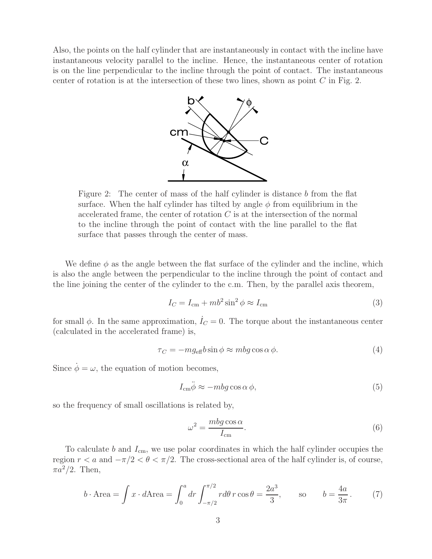Also, the points on the half cylinder that are instantaneously in contact with the incline have instantaneous velocity parallel to the incline. Hence, the instantaneous center of rotation is on the line perpendicular to the incline through the point of contact. The instantaneous center of rotation is at the intersection of these two lines, shown as point  $C$  in Fig. 2.



Figure 2: The center of mass of the half cylinder is distance b from the flat surface. When the half cylinder has tilted by angle  $\phi$  from equilibrium in the accelerated frame, the center of rotation  $C$  is at the intersection of the normal to the incline through the point of contact with the line parallel to the flat surface that passes through the center of mass.

We define  $\phi$  as the angle between the flat surface of the cylinder and the incline, which is also the angle between the perpendicular to the incline through the point of contact and the line joining the center of the cylinder to the c.m. Then, by the parallel axis theorem,

$$
I_C = I_{\rm cm} + mb^2 \sin^2 \phi \approx I_{\rm cm}
$$
 (3)

for small  $\phi$ . In the same approximation,  $\dot{I}_C = 0$ . The torque about the instantaneous center (calculated in the accelerated frame) is,

$$
\tau_C = -mg_{\text{eff}}b\sin\phi \approx mbg\cos\alpha\,\phi. \tag{4}
$$

Since  $\dot{\phi} = \omega$ , the equation of motion becomes,

$$
\ddot{I}_{\rm cm}\ddot{\phi} \approx -mbg\cos\alpha\,\phi,\tag{5}
$$

so the frequency of small oscillations is related by,

$$
\omega^2 = \frac{mbg \cos \alpha}{I_{\rm cm}}.\tag{6}
$$

To calculate b and  $I_{cm}$ , we use polar coordinates in which the half cylinder occupies the region  $r < a$  and  $-\pi/2 < \theta < \pi/2$ . The cross-sectional area of the half cylinder is, of course,  $\pi a^2/2$ . Then,

$$
b \cdot \text{Area} = \int x \cdot d\text{Area} = \int_0^a dr \int_{-\pi/2}^{\pi/2} r d\theta \, r \cos \theta = \frac{2a^3}{3}, \qquad \text{so} \qquad b = \frac{4a}{3\pi} \,. \tag{7}
$$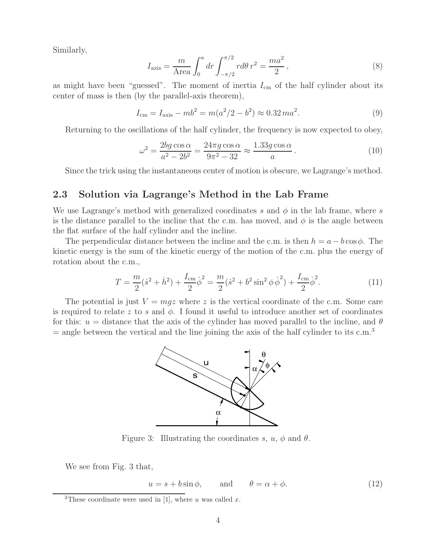Similarly,

$$
I_{\text{axis}} = \frac{m}{\text{Area}} \int_0^a dr \int_{-\pi/2}^{\pi/2} r d\theta \, r^2 = \frac{ma^2}{2} \,,\tag{8}
$$

as might have been "guessed". The moment of inertia  $I_{cm}$  of the half cylinder about its center of mass is then (by the parallel-axis theorem),

$$
I_{\rm cm} = I_{\rm axis} - mb^2 = m(a^2/2 - b^2) \approx 0.32 \, ma^2. \tag{9}
$$

Returning to the oscillations of the half cylinder, the frequency is now expected to obey,

$$
\omega^2 = \frac{2bg\cos\alpha}{a^2 - 2b^2} = \frac{24\pi g\cos\alpha}{9\pi^2 - 32} \approx \frac{1.33g\cos\alpha}{a} \,. \tag{10}
$$

Since the trick using the instantaneous center of motion is obscure, we Lagrange's method.

#### **2.3 Solution via Lagrange's Method in the Lab Frame**

We use Lagrange's method with generalized coordinates s and  $\phi$  in the lab frame, where s is the distance parallel to the incline that the c.m. has moved, and  $\phi$  is the angle between the flat surface of the half cylinder and the incline.

The perpendicular distance between the incline and the c.m. is then  $h = a - b \cos \phi$ . The kinetic energy is the sum of the kinetic energy of the motion of the c.m. plus the energy of rotation about the c.m.,

$$
T = \frac{m}{2}(\dot{s}^2 + \dot{h}^2) + \frac{I_{\rm cm}}{2}\dot{\phi}^2 = \frac{m}{2}(\dot{s}^2 + b^2\sin^2\phi\,\dot{\phi}^2) + \frac{I_{\rm cm}}{2}\dot{\phi}^2.
$$
 (11)

The potential is just  $V = mgz$  where z is the vertical coordinate of the c.m. Some care is required to relate z to s and  $\phi$ . I found it useful to introduce another set of coordinates for this:  $u =$  distance that the axis of the cylinder has moved parallel to the incline, and  $\theta$  $=$  angle between the vertical and the line joining the axis of the half cylinder to its c.m.<sup>3</sup>



Figure 3: Illustrating the coordinates s,  $u, \phi$  and  $\theta$ .

We see from Fig. 3 that,

 $u = s + b \sin \phi$ , and  $\theta = \alpha + \phi$ . (12)

<sup>&</sup>lt;sup>3</sup>These coordinate were used in [1], where u was called x.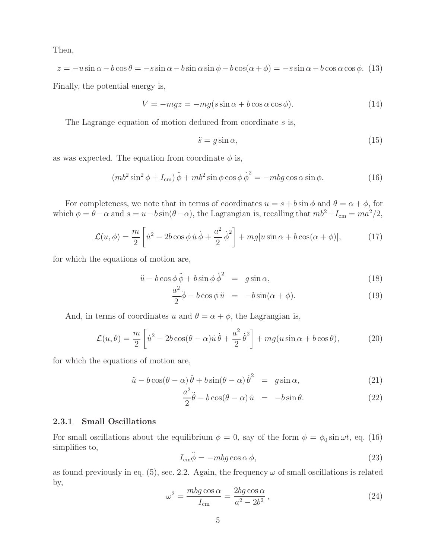Then,

$$
z = -u\sin\alpha - b\cos\theta = -s\sin\alpha - b\sin\alpha\sin\phi - b\cos(\alpha + \phi) = -s\sin\alpha - b\cos\alpha\cos\phi. \tag{13}
$$

Finally, the potential energy is,

$$
V = -mgz = -mg(s\sin\alpha + b\cos\alpha\cos\phi). \tag{14}
$$

The Lagrange equation of motion deduced from coordinate s is,

$$
\ddot{s} = g \sin \alpha,\tag{15}
$$

as was expected. The equation from coordinate  $\phi$  is,

$$
(mb2 sin2 \phi + Icm) \ddot{\phi} + mb2 sin \phi cos \phi \dot{\phi}2 = -mbg cos \alpha sin \phi.
$$
 (16)

For completeness, we note that in terms of coordinates  $u = s + b \sin \phi$  and  $\theta = \alpha + \phi$ , for which  $\phi = \theta - \alpha$  and  $s = u - b \sin(\theta - \alpha)$ , the Lagrangian is, recalling that  $mb^2 + I_{cm} = ma^2/2$ ,

$$
\mathcal{L}(u,\phi) = \frac{m}{2} \left[ \dot{u}^2 - 2b \cos \phi \, \dot{u} \, \dot{\phi} + \frac{a^2}{2} \, \dot{\phi}^2 \right] + mg[u \sin \alpha + b \cos(\alpha + \phi)],\tag{17}
$$

for which the equations of motion are,

$$
\ddot{u} - b\cos\phi\,\ddot{\phi} + b\sin\phi\,\dot{\phi}^2 = g\sin\alpha,\tag{18}
$$

$$
\frac{a^2}{2}\ddot{\phi} - b\cos\phi \,\ddot{u} = -b\sin(\alpha + \phi). \tag{19}
$$

And, in terms of coordinates u and  $\theta = \alpha + \phi$ , the Lagrangian is,

$$
\mathcal{L}(u,\theta) = \frac{m}{2} \left[ \dot{u}^2 - 2b \cos(\theta - \alpha) \dot{u} \dot{\theta} + \frac{a^2}{2} \dot{\theta}^2 \right] + mg(u \sin \alpha + b \cos \theta), \tag{20}
$$

for which the equations of motion are,

$$
\ddot{u} - b\cos(\theta - \alpha)\ddot{\theta} + b\sin(\theta - \alpha)\dot{\theta}^{2} = g\sin\alpha,
$$
\n(21)

$$
\frac{a^2}{2}\ddot{\theta} - b\cos(\theta - \alpha)\ddot{u} = -b\sin\theta.
$$
 (22)

#### **2.3.1 Small Oscillations**

For small oscillations about the equilibrium  $\phi = 0$ , say of the form  $\phi = \phi_0 \sin \omega t$ , eq. (16) simplifies to,

$$
I_{\rm cm}\ddot{\phi} = -mbg\cos\alpha\,\phi,\tag{23}
$$

as found previously in eq. (5), sec. 2.2. Again, the frequency  $\omega$  of small oscillations is related by,

$$
\omega^2 = \frac{mbg \cos \alpha}{I_{\rm cm}} = \frac{2bg \cos \alpha}{a^2 - 2b^2},\tag{24}
$$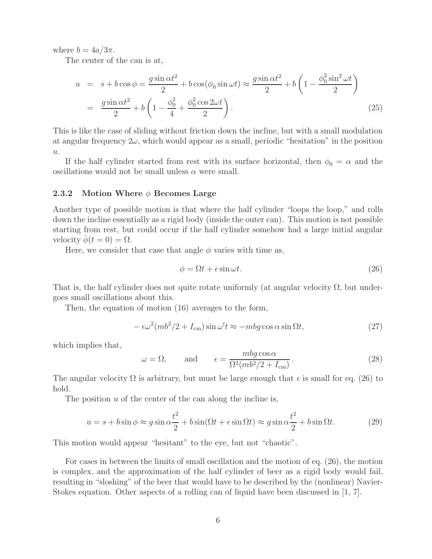where  $b = 4a/3\pi$ .

The center of the can is at,

$$
u = s + b\cos\phi = \frac{g\sin\alpha t^2}{2} + b\cos(\phi_0\sin\omega t) \approx \frac{g\sin\alpha t^2}{2} + b\left(1 - \frac{\phi_0^2\sin^2\omega t}{2}\right)
$$

$$
= \frac{g\sin\alpha t^2}{2} + b\left(1 - \frac{\phi_0^2}{4} + \frac{\phi_0^2\cos 2\omega t}{2}\right). \tag{25}
$$

This is like the case of sliding without friction down the incline, but with a small modulation at angular frequency  $2\omega$ , which would appear as a small, periodic "hesitation" in the position  $\boldsymbol{u}.$ 

If the half cylinder started from rest with its surface horizontal, then  $\phi_0 = \alpha$  and the oscillations would not be small unless  $\alpha$  were small.

#### **2.3.2 Motion Where** φ **Becomes Large**

Another type of possible motion is that where the half cylinder "loops the loop," and rolls down the incline essentially as a rigid body (inside the outer can). This motion is not possible starting from rest, but could occur if the half cylinder somehow had a large initial angular velocity  $\phi(t=0) = \Omega$ .

Here, we consider that case that angle  $\phi$  varies with time as,

$$
\phi = \Omega t + \epsilon \sin \omega t. \tag{26}
$$

That is, the half cylinder does not quite rotate uniformly (at angular velocity  $\Omega$ , but undergoes small oscillations about this.

Then, the equation of motion (16) averages to the form,

$$
-\epsilon \omega^2 (m b^2 / 2 + I_{\rm cm}) \sin \omega' t \approx -m b g \cos \alpha \sin \Omega t, \qquad (27)
$$

which implies that,

$$
\omega = \Omega,
$$
 and  $\epsilon = \frac{mbg \cos \alpha}{\Omega^2 (m b^2 / 2 + I_{\text{cm}})}.$  (28)

The angular velocity  $\Omega$  is arbitrary, but must be large enough that  $\epsilon$  is small for eq. (26) to hold.

The position  $u$  of the center of the can along the incline is,

$$
u = s + b\sin\phi \approx g\sin\alpha \frac{t^2}{2} + b\sin(\Omega t + \epsilon\sin\Omega t) \approx g\sin\alpha \frac{t^2}{2} + b\sin\Omega t.
$$
 (29)

This motion would appear "hesitant" to the eye, but not "chaotic".

For cases in between the limits of small oscillation and the motion of eq. (26), the motion is complex, and the approximation of the half cylinder of beer as a rigid body would fail, resulting in "sloshing" of the beer that would have to be described by the (nonlinear) Navier-Stokes equation. Other aspects of a rolling can of liquid have been discussed in [1, 7].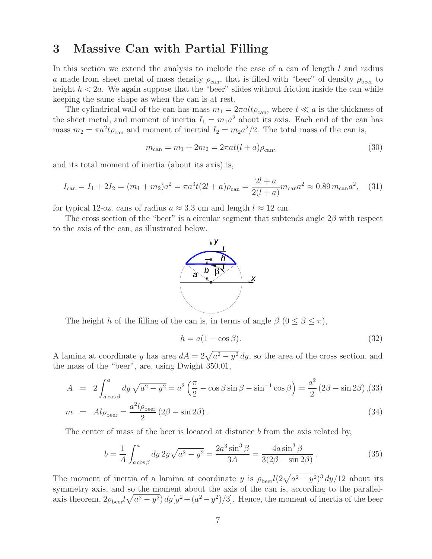### **3 Massive Can with Partial Filling**

In this section we extend the analysis to include the case of a can of length  $l$  and radius a made from sheet metal of mass density  $\rho_{\rm can}$ , that is filled with "beer" of density  $\rho_{\rm beer}$  to height  $h < 2a$ . We again suppose that the "beer" slides without friction inside the can while keeping the same shape as when the can is at rest.

The cylindrical wall of the can has mass  $m_1 = 2\pi alt\rho_{\text{can}}$ , where  $t \ll a$  is the thickness of the sheet metal, and moment of inertia  $I_1 = m_1 a^2$  about its axis. Each end of the can has mass  $m_2 = \pi a^2 t \rho_{\text{can}}$  and moment of inertial  $I_2 = m_2 a^2 / 2$ . The total mass of the can is,

$$
m_{\text{can}} = m_1 + 2m_2 = 2\pi a t (l+a)\rho_{\text{can}},\tag{30}
$$

and its total moment of inertia (about its axis) is,

$$
I_{\text{can}} = I_1 + 2I_2 = (m_1 + m_2)a^2 = \pi a^3 t (2l + a)\rho_{\text{can}} = \frac{2l + a}{2(l + a)} m_{\text{can}} a^2 \approx 0.89 m_{\text{can}} a^2, \quad (31)
$$

for typical 12-oz. cans of radius  $a \approx 3.3$  cm and length  $l \approx 12$  cm.

The cross section of the "beer" is a circular segment that subtends angle  $2\beta$  with respect to the axis of the can, as illustrated below.



The height h of the filling of the can is, in terms of angle  $\beta$   $(0 \leq \beta \leq \pi)$ ,

$$
h = a(1 - \cos \beta). \tag{32}
$$

A lamina at coordinate y has area  $dA = 2\sqrt{a^2 - y^2} dy$ , so the area of the cross section, and the mass of the "beer", are, using Dwight 350.01,

$$
A = 2 \int_{a \cos \beta}^{a} dy \sqrt{a^2 - y^2} = a^2 \left(\frac{\pi}{2} - \cos \beta \sin \beta - \sin^{-1} \cos \beta\right) = \frac{a^2}{2} \left(2\beta - \sin 2\beta\right),
$$
\n(33)

$$
m = Al\rho_{\text{beer}} = \frac{a^2 l \rho_{\text{beer}}}{2} (2\beta - \sin 2\beta). \tag{34}
$$

The center of mass of the beer is located at distance b from the axis related by,

$$
b = \frac{1}{A} \int_{a \cos \beta}^{a} dy \, 2y \sqrt{a^2 - y^2} = \frac{2a^3 \sin^3 \beta}{3A} = \frac{4a \sin^3 \beta}{3(2\beta - \sin 2\beta)}.
$$
 (35)

The moment of inertia of a lamina at coordinate y is  $\rho_{\text{peer}} l(2\sqrt{a^2 - y^2})^3 dy/12$  about its symmetry axis, and so the moment about the axis of the can is, according to the parallelaxis theorem,  $2\rho_{\text{beer}}l\sqrt{a^2-y^2}\right)dy[y^2+(a^2-y^2)/3]$ . Hence, the moment of inertia of the beer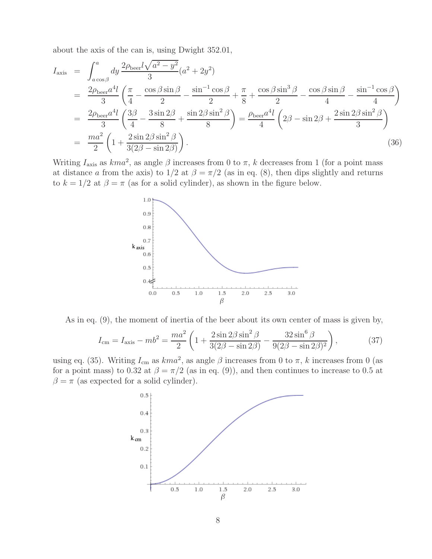about the axis of the can is, using Dwight 352.01,

$$
I_{\text{axis}} = \int_{a\cos\beta}^{a} dy \frac{2\rho_{\text{beer}}l\sqrt{a^2 - y^2}}{3} (a^2 + 2y^2)
$$
  
= 
$$
\frac{2\rho_{\text{beer}}a^4l}{3} \left(\frac{\pi}{4} - \frac{\cos\beta\sin\beta}{2} - \frac{\sin^{-1}\cos\beta}{2} + \frac{\pi}{8} + \frac{\cos\beta\sin^3\beta}{2} - \frac{\cos\beta\sin\beta}{4} - \frac{\sin^{-1}\cos\beta}{4} \right)
$$
  
= 
$$
\frac{2\rho_{\text{beer}}a^4l}{3} \left(\frac{3\beta}{4} - \frac{3\sin 2\beta}{8} + \frac{\sin 2\beta\sin^2\beta}{8} \right) = \frac{\rho_{\text{beer}}a^4l}{4} \left(2\beta - \sin 2\beta + \frac{2\sin 2\beta\sin^2\beta}{3} \right)
$$
  
= 
$$
\frac{ma^2}{2} \left(1 + \frac{2\sin 2\beta\sin^2\beta}{3(2\beta - \sin 2\beta)} \right).
$$
 (36)

Writing  $I_{\text{axis}}$  as  $kma^2$ , as angle  $\beta$  increases from 0 to  $\pi$ , k decreases from 1 (for a point mass at distance a from the axis) to  $1/2$  at  $\beta = \pi/2$  (as in eq. (8), then dips slightly and returns to  $k = 1/2$  at  $\beta = \pi$  (as for a solid cylinder), as shown in the figure below.



As in eq. (9), the moment of inertia of the beer about its own center of mass is given by,

$$
I_{\rm cm} = I_{\rm axis} - mb^2 = \frac{ma^2}{2} \left( 1 + \frac{2 \sin 2\beta \sin^2 \beta}{3(2\beta - \sin 2\beta)} - \frac{32 \sin^6 \beta}{9(2\beta - \sin 2\beta)^2} \right),\tag{37}
$$

using eq. (35). Writing  $I_{cm}$  as  $kma^2$ , as angle  $\beta$  increases from 0 to  $\pi$ , k increases from 0 (as for a point mass) to 0.32 at  $\beta = \pi/2$  (as in eq. (9)), and then continues to increase to 0.5 at  $\beta = \pi$  (as expected for a solid cylinder).

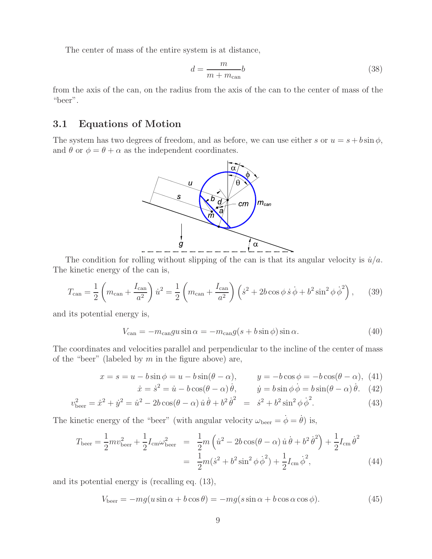The center of mass of the entire system is at distance,

$$
d = \frac{m}{m + m_{\text{can}}}b\tag{38}
$$

from the axis of the can, on the radius from the axis of the can to the center of mass of the "beer".

### **3.1 Equations of Motion**

The system has two degrees of freedom, and as before, we can use either s or  $u = s + b \sin \phi$ , and  $\theta$  or  $\phi = \theta + \alpha$  as the independent coordinates.



The condition for rolling without slipping of the can is that its angular velocity is  $\dot{u}/a$ . The kinetic energy of the can is,

$$
T_{\text{can}} = \frac{1}{2} \left( m_{\text{can}} + \frac{I_{\text{can}}}{a^2} \right) \dot{u}^2 = \frac{1}{2} \left( m_{\text{can}} + \frac{I_{\text{can}}}{a^2} \right) \left( \dot{s}^2 + 2b \cos \phi \, \dot{s} \, \dot{\phi} + b^2 \sin^2 \phi \, \dot{\phi}^2 \right), \tag{39}
$$

and its potential energy is,

$$
V_{\text{can}} = -m_{\text{can}}gu\sin\alpha = -m_{\text{can}}g(s+b\sin\phi)\sin\alpha. \tag{40}
$$

The coordinates and velocities parallel and perpendicular to the incline of the center of mass of the "beer" (labeled by  $m$  in the figure above) are,

$$
x = s = u - b\sin\phi = u - b\sin(\theta - \alpha), \qquad y = -b\cos\phi = -b\cos(\theta - \alpha), \tag{41}
$$

$$
\dot{x} = \dot{s}^2 = \dot{u} - b\cos(\theta - \alpha)\dot{\theta}, \qquad \dot{y} = b\sin\phi\dot{\phi} = b\sin(\theta - \alpha)\dot{\theta}. \tag{42}
$$

$$
v_{\text{beer}}^2 = \dot{x}^2 + \dot{y}^2 = \dot{u}^2 - 2b\cos(\theta - \alpha)\,\dot{u}\,\dot{\theta} + b^2\,\dot{\theta}^2 = \dot{s}^2 + b^2\sin^2\phi\,\dot{\phi}^2. \tag{43}
$$

The kinetic energy of the "beer" (with angular velocity  $\omega_{\text{beer}} = \dot{\phi} = \dot{\theta}$ ) is,

$$
T_{\text{beer}} = \frac{1}{2} m v_{\text{beer}}^2 + \frac{1}{2} I_{\text{cm}} \omega_{\text{beer}}^2 = \frac{1}{2} m \left( \dot{u}^2 - 2b \cos(\theta - \alpha) \dot{u} \dot{\theta} + b^2 \dot{\theta}^2 \right) + \frac{1}{2} I_{\text{cm}} \dot{\theta}^2
$$
  
= 
$$
\frac{1}{2} m (\dot{s}^2 + b^2 \sin^2 \phi \dot{\phi}^2) + \frac{1}{2} I_{\text{cm}} \dot{\phi}^2,
$$
(44)

and its potential energy is (recalling eq. (13),

$$
V_{\text{beer}} = -mg(u\sin\alpha + b\cos\theta) = -mg(s\sin\alpha + b\cos\alpha\cos\phi). \tag{45}
$$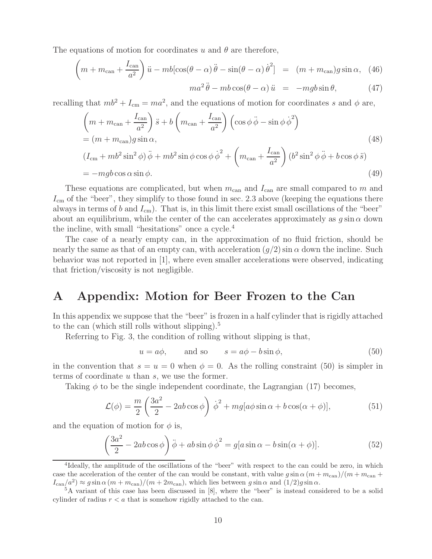The equations of motion for coordinates u and  $\theta$  are therefore,

$$
\left(m + m_{\text{can}} + \frac{I_{\text{can}}}{a^2}\right)\ddot{u} - mb[\cos(\theta - \alpha)\ddot{\theta} - \sin(\theta - \alpha)\dot{\theta}^2] = (m + m_{\text{can}})g\sin\alpha, (46)
$$

$$
ma^2\ddot{\theta} - mb\cos(\theta - \alpha)\ddot{u} = -mgb\sin\theta, \qquad (47)
$$

recalling that  $mb^2 + I_{\rm cm} = ma^2$ , and the equations of motion for coordinates s and  $\phi$  are,

$$
\left(m + m_{\text{can}} + \frac{I_{\text{can}}}{a^2}\right)\ddot{s} + b\left(m_{\text{can}} + \frac{I_{\text{can}}}{a^2}\right)\left(\cos\phi\ddot{\phi} - \sin\phi\dot{\phi}^2\right)
$$
  
=  $(m + m_{\text{can}})g\sin\alpha,$  (48)  

$$
(I_{\text{cm}} + mb^2\sin^2\phi)\ddot{\phi} + mb^2\sin\phi\cos\phi\dot{\phi}^2 + \left(m_{\text{can}} + \frac{I_{\text{can}}}{a^2}\right)(b^2\sin^2\phi\ddot{\phi} + b\cos\phi\ddot{s})
$$
  
=  $-mgb\cos\alpha\sin\phi.$  (49)

These equations are complicated, but when  $m_{\text{can}}$  and  $I_{\text{can}}$  are small compared to m and  $I_{\rm cm}$  of the "beer", they simplify to those found in sec. 2.3 above (keeping the equations there always in terms of b and  $I_{cm}$ ). That is, in this limit there exist small oscillations of the "beer" about an equilibrium, while the center of the can accelerates approximately as  $g \sin \alpha$  down the incline, with small "hesitations" once a cycle.<sup>4</sup>

The case of a nearly empty can, in the approximation of no fluid friction, should be nearly the same as that of an empty can, with acceleration  $(g/2)$  sin  $\alpha$  down the incline. Such behavior was not reported in [1], where even smaller accelerations were observed, indicating that friction/viscosity is not negligible.

## **A Appendix: Motion for Beer Frozen to the Can**

In this appendix we suppose that the "beer" is frozen in a half cylinder that is rigidly attached to the can (which still rolls without slipping). $5$ 

Referring to Fig. 3, the condition of rolling without slipping is that,

$$
u = a\phi
$$
, and so  $s = a\phi - b\sin\phi$ , (50)

in the convention that  $s = u = 0$  when  $\phi = 0$ . As the rolling constraint (50) is simpler in terms of coordinate  $u$  than  $s$ , we use the former.

Taking  $\phi$  to be the single independent coordinate, the Lagrangian (17) becomes,

$$
\mathcal{L}(\phi) = \frac{m}{2} \left( \frac{3a^2}{2} - 2ab \cos \phi \right) \dot{\phi}^2 + mg[a\phi \sin \alpha + b \cos(\alpha + \phi)],\tag{51}
$$

and the equation of motion for  $\phi$  is,

$$
\left(\frac{3a^2}{2} - 2ab\cos\phi\right)\ddot{\phi} + ab\sin\phi\dot{\phi}^2 = g[a\sin\alpha - b\sin(\alpha + \phi)].\tag{52}
$$

<sup>&</sup>lt;sup>4</sup>Ideally, the amplitude of the oscillations of the "beer" with respect to the can could be zero, in which case the acceleration of the center of the can would be constant, with value  $g \sin \alpha (m + m_{\text{can}})/(m + m_{\text{can}} + m_{\text{can}})$  $I_{\text{can}}/a^2$   $\approx g \sin \alpha (m + m_{\text{can}})/(m + 2m_{\text{can}})$ , which lies between g sin  $\alpha$  and  $(1/2)g \sin \alpha$ .<br><sup>5</sup>A variant of this case has been discussed in [8], where the "beer" is instead considered to be a solid

cylinder of radius  $r < a$  that is somehow rigidly attached to the can.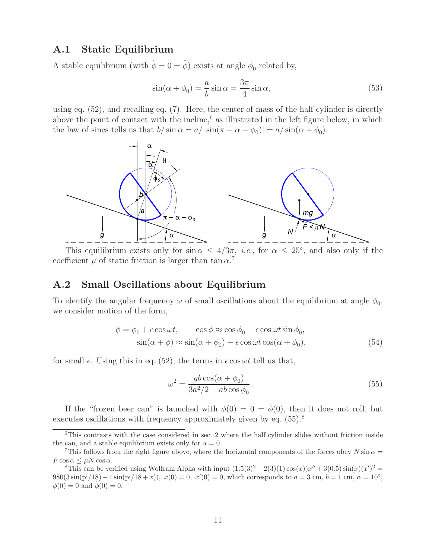#### **A.1 Static Equilibrium**

A stable equilibrium (with  $\dot{\phi} = 0 = \ddot{\phi}$ ) exists at angle  $\phi_0$  related by,

$$
\sin(\alpha + \phi_0) = -\frac{a}{b}\sin\alpha = \frac{3\pi}{4}\sin\alpha,\tag{53}
$$

using eq.  $(52)$ , and recalling eq.  $(7)$ . Here, the center of mass of the half cylinder is directly above the point of contact with the incline, $6$  as illustrated in the left figure below, in which the law of sines tells us that  $b/\sin \alpha = a/|\sin(\pi - \alpha - \phi_0)| = a/\sin(\alpha + \phi_0)$ .



This equilibrium exists only for  $\sin \alpha \leq 4/3\pi$ , *i.e.*, for  $\alpha \leq 25^{\circ}$ , and also only if the coefficient  $\mu$  of static friction is larger than tan  $\alpha$ <sup>7</sup>

#### **A.2 Small Oscillations about Equilibrium**

To identify the angular frequency  $\omega$  of small oscillations about the equilibrium at angle  $\phi_0$ . we consider motion of the form,

$$
\phi = \phi_0 + \epsilon \cos \omega t, \qquad \cos \phi \approx \cos \phi_0 - \epsilon \cos \omega t \sin \phi_0, \n\sin(\alpha + \phi) \approx \sin(\alpha + \phi_0) - \epsilon \cos \omega t \cos(\alpha + \phi_0),
$$
\n(54)

for small  $\epsilon$ . Using this in eq. (52), the terms in  $\epsilon \cos \omega t$  tell us that,

$$
\omega^2 = \frac{gb\cos(\alpha + \phi_0)}{3a^2/2 - ab\cos\phi_0}.\tag{55}
$$

If the "frozen beer can" is launched with  $\phi(0) = 0 = \dot{\phi}(0)$ , then it does not roll, but executes oscillations with frequency approximately given by eq.  $(55)$ .<sup>8</sup>

 ${}^{6}$ This contrasts with the case considered in sec. 2 where the half cylinder slides without friction inside the can, and a stable equilibrium exists only for  $\alpha = 0$ .

<sup>&</sup>lt;sup>7</sup>This follows from the right figure above, where the horizontal components of the forces obey  $N \sin \alpha = F \cos \alpha \leq \mu N \cos \alpha$ .

 $F \cos \alpha \leq \mu N \cos \alpha$ .<br><sup>8</sup>This can be verified using Wolfram Alpha with input  $(1.5(3)^2 - 2(3)(1) \cos(x))x'$ <br>980(3 sin(pi/18) − 1 sin(pi/18 + x)) x(0) − 0 x'(0) − 0 which corresponds to  $a = 3$  $y' + 3(0.5) \sin(x) (x')^2 =$ <br>  $\lim_{b \to 1} b = 1 \text{ cm}, \ \alpha = 10^{\circ}$  $980(3\sin(\pi/18) - 1\sin(\pi/18 + x))$ ,  $x(0) = 0$ ,  $x'(0) = 0$ , which corresponds to  $a = 3$  cm,  $b = 1$  cm,  $\alpha = 10^{\circ}$ ,  $\phi(0) = 0$  and  $\phi(0) = 0$  $\phi(0) = 0$  and  $\phi(0) = 0$ .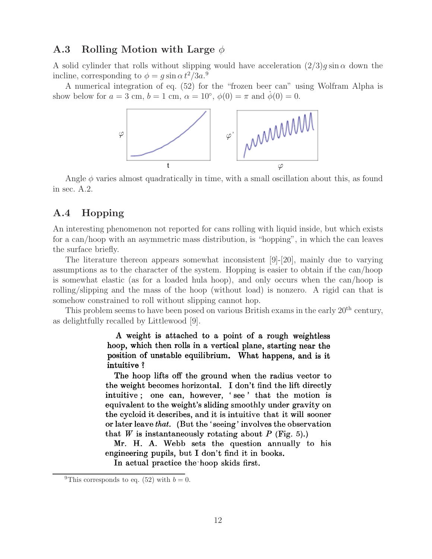### **A.3 Rolling Motion with Large** φ

A solid cylinder that rolls without slipping would have acceleration  $(2/3)q \sin \alpha$  down the incline, corresponding to  $\phi = g \sin \alpha t^2 / 3a$ .<sup>9</sup>

A numerical integration of eq. (52) for the "frozen beer can" using Wolfram Alpha is show below for  $a = 3$  cm,  $b = 1$  cm,  $\alpha = 10^{\circ}$ ,  $\phi(0) = \pi$  and  $\phi(0) = 0$ .



Angle  $\phi$  varies almost quadratically in time, with a small oscillation about this, as found in sec. A.2.

### **A.4 Hopping**

An interesting phenomenon not reported for cans rolling with liquid inside, but which exists for a can/hoop with an asymmetric mass distribution, is "hopping", in which the can leaves the surface briefly.

The literature thereon appears somewhat inconsistent [9]-[20], mainly due to varying assumptions as to the character of the system. Hopping is easier to obtain if the can/hoop is somewhat elastic (as for a loaded hula hoop), and only occurs when the can/hoop is rolling/slipping and the mass of the hoop (without load) is nonzero. A rigid can that is somehow constrained to roll without slipping cannot hop.

This problem seems to have been posed on various British exams in the early  $20<sup>th</sup>$  century, as delightfully recalled by Littlewood [9].

> A weight is attached to a point of a rough weightless hoop, which then rolls in a vertical plane, starting near the position of unstable equilibrium. What happens, and is it intuitive?

> The hoop lifts off the ground when the radius vector to the weight becomes horizontal. I don't find the lift directly intuitive; one can, however, 'see' that the motion is equivalent to the weight's sliding smoothly under gravity on the cycloid it describes, and it is intuitive that it will sooner or later leave that. (But the 'seeing' involves the observation that W is instantaneously rotating about P (Fig. 5).)

> Mr. H. A. Webb sets the question annually to his engineering pupils, but I don't find it in books.

In actual practice the hoop skids first.

<sup>&</sup>lt;sup>9</sup>This corresponds to eq. (52) with  $b = 0$ .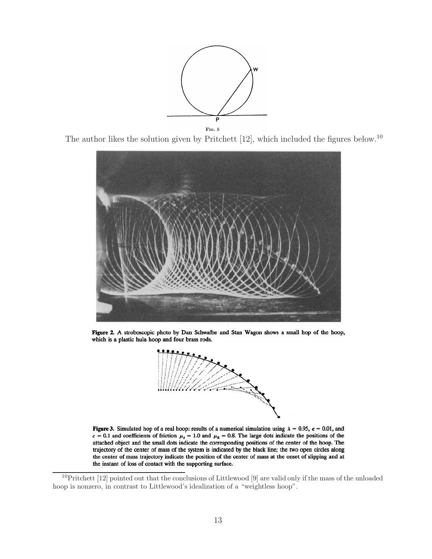

The author likes the solution given by Pritchett [12], which included the figures below.<sup>10</sup>



Figure 2. A stroboscopic photo by Dan Schwalbe and Stan Wagon shows a small hop of the hoop, which is a plastic hula hoop and four brass rods.



Figure 3. Simulated hop of a real hoop: results of a numerical simulation using  $\lambda = 0.95$ ,  $\epsilon = 0.01$ , and  $c = 0.1$  and coefficients of friction  $\mu_s = 1.0$  and  $\mu_k = 0.8$ . The large dots indicate the positions of the attached object and the small dots indicate the corresponding positions of the center of the hoop. The trajectory of the center of mass of the system is indicated by the black line; the two open circles along the center of mass trajectory indicate the position of the center of mass at the onset of slipping and at the instant of loss of contact with the supporting surface.

<sup>10</sup>Pritchett [12] pointed out that the conclusions of Littlewood [9] are valid only if the mass of the unloaded hoop is nonzero, in contrast to Littlewood's idealization of a "weightless hoop".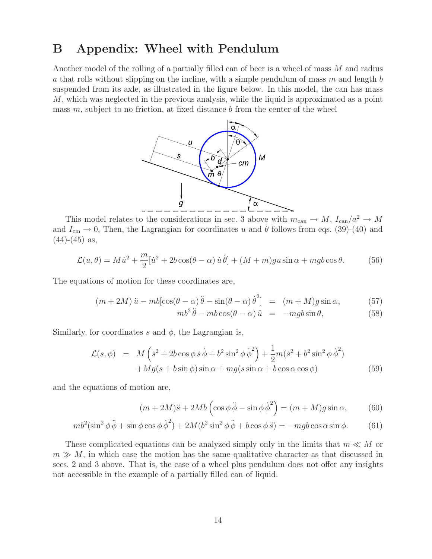## **B Appendix: Wheel with Pendulum**

Another model of the rolling of a partially filled can of beer is a wheel of mass M and radius a that rolls without slipping on the incline, with a simple pendulum of mass  $m$  and length  $b$ suspended from its axle, as illustrated in the figure below. In this model, the can has mass M, which was neglected in the previous analysis, while the liquid is approximated as a point mass  $m$ , subject to no friction, at fixed distance  $b$  from the center of the wheel



This model relates to the considerations in sec. 3 above with  $m_{\text{can}} \to M$ ,  $I_{\text{can}}/a^2 \to M$ and  $I_{\text{cm}} \to 0$ , Then, the Lagrangian for coordinates u and  $\theta$  follows from eqs. (39)-(40) and  $(44)-(45)$  as,

$$
\mathcal{L}(u,\theta) = M\dot{u}^2 + \frac{m}{2}[\dot{u}^2 + 2b\cos(\theta - \alpha)\,\dot{u}\,\dot{\theta}] + (M+m)gu\sin\alpha + mgb\cos\theta. \tag{56}
$$

The equations of motion for these coordinates are,

$$
(m+2M)\ddot{u} - mb[\cos(\theta-\alpha)\ddot{\theta} - \sin(\theta-\alpha)\dot{\theta}^2] = (m+M)g\sin\alpha, \qquad (57)
$$

$$
mb^2\ddot{\theta} - mb\cos(\theta - \alpha)\ddot{u} = -mgb\sin\theta, \qquad (58)
$$

Similarly, for coordinates s and  $\phi$ , the Lagrangian is,

$$
\mathcal{L}(s,\phi) = M\left(\dot{s}^2 + 2b\cos\phi\,\dot{s}\,\dot{\phi} + b^2\sin^2\phi\,\dot{\phi}^2\right) + \frac{1}{2}m(\dot{s}^2 + b^2\sin^2\phi\,\dot{\phi}^2) \n+ Mg(s + b\sin\phi)\sin\alpha + mg(s\sin\alpha + b\cos\alpha\cos\phi)
$$
\n(59)

and the equations of motion are,

$$
(m+2M)\ddot{s} + 2Mb\left(\cos\phi\ddot{\phi} - \sin\phi\dot{\phi}^2\right) = (m+M)g\sin\alpha, \qquad (60)
$$

$$
mb^2(\sin^2\phi\ddot{\phi} + \sin\phi\cos\phi\dot{\phi}^2) + 2M(b^2\sin^2\phi\ddot{\phi} + b\cos\phi\ddot{s}) = -mgb\cos\alpha\sin\phi. \tag{61}
$$

These complicated equations can be analyzed simply only in the limits that  $m \ll M$  or  $m \gg M$ , in which case the motion has the same qualitative character as that discussed in secs. 2 and 3 above. That is, the case of a wheel plus pendulum does not offer any insights not accessible in the example of a partially filled can of liquid.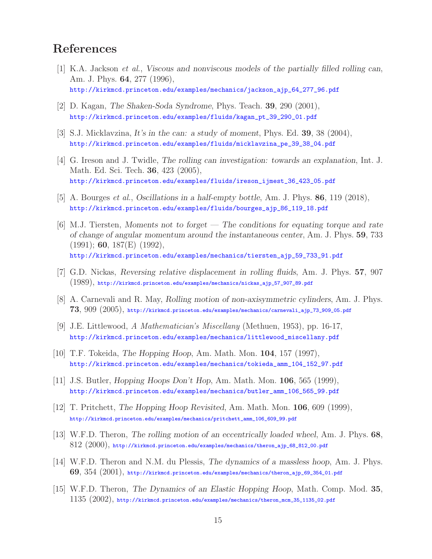# **References**

- [1] K.A. Jackson *et al.*, *Viscous and nonviscous models of the partially filled rolling can*, Am. J. Phys. **64**, 277 (1996), http://kirkmcd.princeton.edu/examples/mechanics/jackson\_ajp\_64\_277\_96.pdf
- [2] D. Kagan, *The Shaken-Soda Syndrome*, Phys. Teach. **39**, 290 (2001), http://kirkmcd.princeton.edu/examples/fluids/kagan\_pt\_39\_290\_01.pdf
- [3] S.J. Micklavzina, *It's in the can: a study of moment*, Phys. Ed. **39**, 38 (2004), http://kirkmcd.princeton.edu/examples/fluids/micklavzina\_pe\_39\_38\_04.pdf
- [4] G. Ireson and J. Twidle, *The rolling can investigation: towards an explanation*, Int. J. Math. Ed. Sci. Tech. **36**, 423 (2005), http://kirkmcd.princeton.edu/examples/fluids/ireson\_ijmest\_36\_423\_05.pdf
- [5] A. Bourges *et al.*, *Oscillations in a half-empty bottle*, Am. J. Phys. **86**, 119 (2018), http://kirkmcd.princeton.edu/examples/fluids/bourges\_ajp\_86\_119\_18.pdf
- [6] M.J. Tiersten, *Moments not to forget The conditions for equating torque and rate of change of angular momentum around the instantaneous center*, Am. J. Phys. **59**, 733 (1991); **60**, 187(E) (1992), http://kirkmcd.princeton.edu/examples/mechanics/tiersten\_ajp\_59\_733\_91.pdf
- [7] G.D. Nickas, *Reversing relative displacement in rolling fluids*, Am. J. Phys. **57**, 907 (1989), http://kirkmcd.princeton.edu/examples/mechanics/nickas\_ajp\_57\_907\_89.pdf
- [8] A. Carnevali and R. May, *Rolling motion of non-axisymmetric cylinders*, Am. J. Phys. **73**, 909 (2005), http://kirkmcd.princeton.edu/examples/mechanics/carnevali\_ajp\_73\_909\_05.pdf
- [9] J.E. Littlewood, *A Mathematician's Miscellany* (Methuen, 1953), pp. 16-17, http://kirkmcd.princeton.edu/examples/mechanics/littlewood\_miscellany.pdf
- [10] T.F. Tokeida, *The Hopping Hoop*, Am. Math. Mon. **104**, 157 (1997), http://kirkmcd.princeton.edu/examples/mechanics/tokieda\_amm\_104\_152\_97.pdf
- [11] J.S. Butler, *Hopping Hoops Don't Hop*, Am. Math. Mon. **106**, 565 (1999), http://kirkmcd.princeton.edu/examples/mechanics/butler\_amm\_106\_565\_99.pdf
- [12] T. Pritchett, *The Hopping Hoop Revisited*, Am. Math. Mon. **106**, 609 (1999), http://kirkmcd.princeton.edu/examples/mechanics/pritchett\_amm\_106\_609\_99.pdf
- [13] W.F.D. Theron, *The rolling motion of an eccentrically loaded wheel*, Am. J. Phys. **68**,  $812$  (2000), http://kirkmcd.princeton.edu/examples/mechanics/theron\_ajp\_68\_812\_00.pdf
- [14] W.F.D. Theron and N.M. du Plessis, *The dynamics of a massless hoop*, Am. J. Phys. **69**, 354 (2001), http://kirkmcd.princeton.edu/examples/mechanics/theron\_ajp\_69\_354\_01.pdf
- [15] W.F.D. Theron, *The Dynamics of an Elastic Hopping Hoop*, Math. Comp. Mod. **35**,  $1135 \,\, (2002)$ , http://kirkmcd.princeton.edu/examples/mechanics/theron\_mcm\_35\_1135\_02.pdf